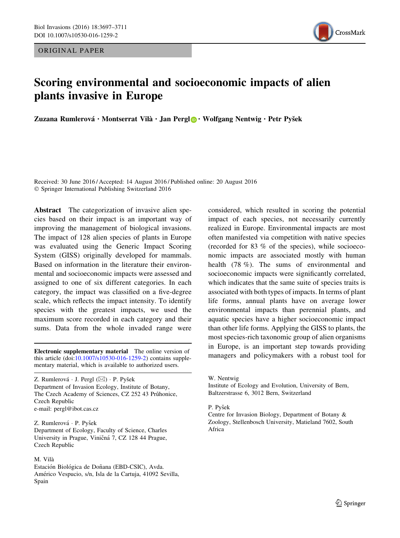ORIGINAL PAPER



# Scoring environmental and socioeconomic impacts of alien plants invasive in Europe

Zuzana Rumlerová · Montserrat Vilà · Jan Pergl **·** Wolfgang Nentwig · Petr Pyšek

Received: 30 June 2016 / Accepted: 14 August 2016 / Published online: 20 August 2016 - Springer International Publishing Switzerland 2016

Abstract The categorization of invasive alien species based on their impact is an important way of improving the management of biological invasions. The impact of 128 alien species of plants in Europe was evaluated using the Generic Impact Scoring System (GISS) originally developed for mammals. Based on information in the literature their environmental and socioeconomic impacts were assessed and assigned to one of six different categories. In each category, the impact was classified on a five-degree scale, which reflects the impact intensity. To identify species with the greatest impacts, we used the maximum score recorded in each category and their sums. Data from the whole invaded range were

this article (doi[:10.1007/s10530-016-1259-2\)](http://dx.doi.org/10.1007/s10530-016-1259-2) contains supplementary material, which is available to authorized users.

Z. Rumlerová ∙ J. Pergl (⊠) ∙ P. Pyšek Department of Invasion Ecology, Institute of Botany, The Czech Academy of Sciences, CZ 252 43 Průhonice, Czech Republic e-mail: pergl@ibot.cas.cz

Z. Rumlerová · P. Pyšek Department of Ecology, Faculty of Science, Charles University in Prague, Viničná 7, CZ 128 44 Prague, Czech Republic

## M. Vila`

Estación Biológica de Doñana (EBD-CSIC), Avda. Américo Vespucio, s/n, Isla de la Cartuja, 41092 Sevilla, Spain

considered, which resulted in scoring the potential impact of each species, not necessarily currently realized in Europe. Environmental impacts are most often manifested via competition with native species (recorded for 83 % of the species), while socioeconomic impacts are associated mostly with human health (78 %). The sums of environmental and socioeconomic impacts were significantly correlated, which indicates that the same suite of species traits is associated with both types of impacts. In terms of plant life forms, annual plants have on average lower environmental impacts than perennial plants, and aquatic species have a higher socioeconomic impact than other life forms. Applying the GISS to plants, the most species-rich taxonomic group of alien organisms in Europe, is an important step towards providing Electronic supplementary material The online version of<br>this article (doi:10.1007/s10530-016-1259-2) contains supple-<br>managers and policymakers with a robust tool for

## P. Pvšek

Centre for Invasion Biology, Department of Botany & Zoology, Stellenbosch University, Matieland 7602, South Africa

W. Nentwig

Institute of Ecology and Evolution, University of Bern, Baltzerstrasse 6, 3012 Bern, Switzerland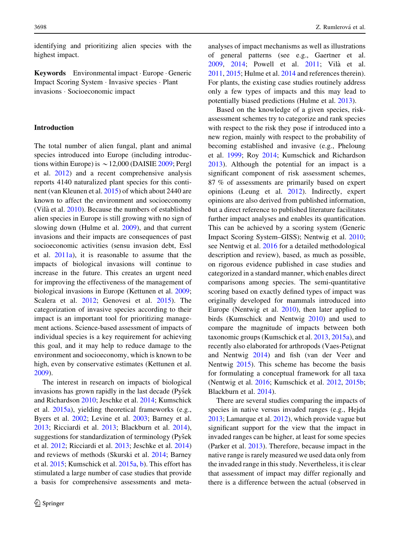identifying and prioritizing alien species with the highest impact.

Keywords Environmental impact · Europe · Generic Impact Scoring System - Invasive species - Plant invasions - Socioeconomic impact

## Introduction

The total number of alien fungal, plant and animal species introduced into Europe (including introductions within Europe) is  $\sim$  12,000 (DAISIE [2009](#page-12-0); Pergl et al. [2012\)](#page-13-0) and a recent comprehensive analysis reports 4140 naturalized plant species for this continent (van Kleunen et al. [2015](#page-14-0)) of which about 2440 are known to affect the environment and socioeconomy (Vilà et al.  $2010$ ). Because the numbers of established alien species in Europe is still growing with no sign of slowing down (Hulme et al. [2009](#page-13-0)), and that current invasions and their impacts are consequences of past socioeconomic activities (sensu invasion debt, Essl et al. [2011a](#page-12-0)), it is reasonable to assume that the impacts of biological invasions will continue to increase in the future. This creates an urgent need for improving the effectiveness of the management of biological invasions in Europe (Kettunen et al. [2009](#page-13-0); Scalera et al. [2012](#page-14-0); Genovesi et al. [2015\)](#page-12-0). The categorization of invasive species according to their impact is an important tool for prioritizing management actions. Science-based assessment of impacts of individual species is a key requirement for achieving this goal, and it may help to reduce damage to the environment and socioeconomy, which is known to be high, even by conservative estimates (Kettunen et al. [2009\)](#page-13-0).

The interest in research on impacts of biological invasions has grown rapidly in the last decade (Pyšek and Richardson [2010](#page-14-0); Jeschke et al. [2014;](#page-13-0) Kumschick et al. [2015a\)](#page-13-0), yielding theoretical frameworks (e.g., Byers et al. [2002;](#page-12-0) Levine et al. [2003;](#page-13-0) Barney et al. [2013;](#page-12-0) Ricciardi et al. [2013](#page-14-0); Blackburn et al. [2014](#page-12-0)), suggestions for standardization of terminology (Pyšek et al. [2012](#page-14-0); Ricciardi et al. [2013;](#page-14-0) Jeschke et al. [2014\)](#page-13-0) and reviews of methods (Skurski et al. [2014](#page-14-0); Barney et al. [2015](#page-12-0); Kumschick et al. [2015a,](#page-13-0) [b](#page-13-0)). This effort has stimulated a large number of case studies that provide a basis for comprehensive assessments and metaanalyses of impact mechanisms as well as illustrations of general patterns (see e.g., Gaertner et al. [2009,](#page-12-0) [2014;](#page-12-0) Powell et al. [2011;](#page-14-0) Vila` et al. [2011,](#page-14-0) [2015](#page-14-0); Hulme et al. [2014](#page-13-0) and references therein). For plants, the existing case studies routinely address only a few types of impacts and this may lead to potentially biased predictions (Hulme et al. [2013](#page-13-0)).

Based on the knowledge of a given species, riskassessment schemes try to categorize and rank species with respect to the risk they pose if introduced into a new region, mainly with respect to the probability of becoming established and invasive (e.g., Pheloung et al. [1999;](#page-14-0) Roy [2014;](#page-14-0) Kumschick and Richardson [2013\)](#page-13-0). Although the potential for an impact is a significant component of risk assessment schemes, 87 % of assessments are primarily based on expert opinions (Leung et al. [2012\)](#page-13-0). Indirectly, expert opinions are also derived from published information, but a direct reference to published literature facilitates further impact analyses and enables its quantification. This can be achieved by a scoring system (Generic Impact Scoring System–GISS); Nentwig et al. [2010](#page-13-0); see Nentwig et al. [2016](#page-13-0) for a detailed methodological description and review), based, as much as possible, on rigorous evidence published in case studies and categorized in a standard manner, which enables direct comparisons among species. The semi-quantitative scoring based on exactly defined types of impact was originally developed for mammals introduced into Europe (Nentwig et al. [2010](#page-13-0)), then later applied to birds (Kumschick and Nentwig [2010\)](#page-13-0) and used to compare the magnitude of impacts between both taxonomic groups (Kumschick et al. [2013](#page-13-0), [2015a](#page-13-0)), and recently also elaborated for arthropods (Vaes-Petignat and Nentwig [2014](#page-14-0)) and fish (van der Veer and Nentwig [2015\)](#page-14-0). This scheme has become the basis for formulating a conceptual framework for all taxa (Nentwig et al. [2016](#page-13-0); Kumschick et al. [2012,](#page-13-0) [2015b](#page-13-0); Blackburn et al. [2014\)](#page-12-0).

There are several studies comparing the impacts of species in native versus invaded ranges (e.g., Hejda [2013;](#page-13-0) Lamarque et al. [2012](#page-13-0)), which provide vague but significant support for the view that the impact in invaded ranges can be higher, at least for some species (Parker et al. [2013\)](#page-13-0). Therefore, because impact in the native range is rarely measured we used data only from the invaded range in this study. Nevertheless, it is clear that assessment of impact may differ regionally and there is a difference between the actual (observed in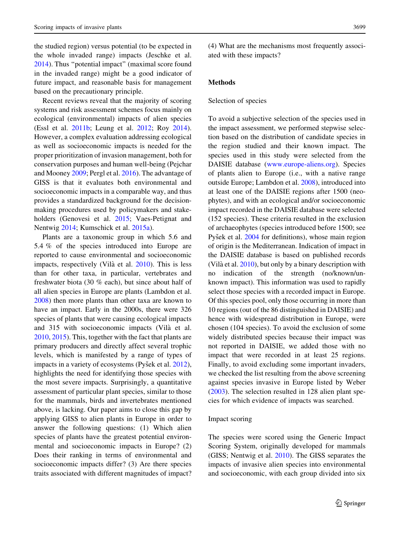the studied region) versus potential (to be expected in the whole invaded range) impacts (Jeschke et al. [2014\)](#page-13-0). Thus ''potential impact'' (maximal score found in the invaded range) might be a good indicator of future impact, and reasonable basis for management based on the precautionary principle.

Recent reviews reveal that the majority of scoring systems and risk assessment schemes focus mainly on ecological (environmental) impacts of alien species (Essl et al. [2011b](#page-12-0); Leung et al. [2012](#page-13-0); Roy [2014](#page-14-0)). However, a complex evaluation addressing ecological as well as socioeconomic impacts is needed for the proper prioritization of invasion management, both for conservation purposes and human well-being (Pejchar and Mooney [2009](#page-13-0); Pergl et al. [2016](#page-13-0)). The advantage of GISS is that it evaluates both environmental and socioeconomic impacts in a comparable way, and thus provides a standardized background for the decisionmaking procedures used by policymakers and stakeholders (Genovesi et al. [2015](#page-12-0); Vaes-Petignat and Nentwig [2014;](#page-14-0) Kumschick et al. [2015a\)](#page-13-0).

Plants are a taxonomic group in which 5.6 and 5.4 % of the species introduced into Europe are reported to cause environmental and socioeconomic impacts, respectively (Vilà et al. [2010\)](#page-14-0). This is less than for other taxa, in particular, vertebrates and freshwater biota (30 % each), but since about half of all alien species in Europe are plants (Lambdon et al. [2008\)](#page-13-0) then more plants than other taxa are known to have an impact. Early in the 2000s, there were 326 species of plants that were causing ecological impacts and 315 with socioeconomic impacts (Vila` et al. [2010,](#page-14-0) [2015](#page-14-0)). This, together with the fact that plants are primary producers and directly affect several trophic levels, which is manifested by a range of types of impacts in a variety of ecosystems (Pyšek et al.  $2012$ ), highlights the need for identifying those species with the most severe impacts. Surprisingly, a quantitative assessment of particular plant species, similar to those for the mammals, birds and invertebrates mentioned above, is lacking. Our paper aims to close this gap by applying GISS to alien plants in Europe in order to answer the following questions: (1) Which alien species of plants have the greatest potential environmental and socioeconomic impacts in Europe? (2) Does their ranking in terms of environmental and socioeconomic impacts differ? (3) Are there species traits associated with different magnitudes of impact?

(4) What are the mechanisms most frequently associated with these impacts?

#### Methods

#### Selection of species

To avoid a subjective selection of the species used in the impact assessment, we performed stepwise selection based on the distribution of candidate species in the region studied and their known impact. The species used in this study were selected from the DAISIE database [\(www.europe-aliens.org\)](http://www.europe-aliens.org). Species of plants alien to Europe (i.e., with a native range outside Europe; Lambdon et al. [2008\)](#page-13-0), introduced into at least one of the DAISIE regions after 1500 (neophytes), and with an ecological and/or socioeconomic impact recorded in the DAISIE database were selected (152 species). These criteria resulted in the exclusion of archaeophytes (species introduced before 1500; see Pyšek et al. [2004](#page-14-0) for definitions), whose main region of origin is the Mediterranean. Indication of impact in the DAISIE database is based on published records (Vilà et al.  $2010$ ), but only by a binary description with no indication of the strength (no/known/unknown impact). This information was used to rapidly select those species with a recorded impact in Europe. Of this species pool, only those occurring in more than 10 regions (out of the 86 distinguished in DAISIE) and hence with widespread distribution in Europe, were chosen (104 species). To avoid the exclusion of some widely distributed species because their impact was not reported in DAISIE, we added those with no impact that were recorded in at least 25 regions. Finally, to avoid excluding some important invaders, we checked the list resulting from the above screening against species invasive in Europe listed by Weber [\(2003](#page-14-0)). The selection resulted in 128 alien plant species for which evidence of impacts was searched.

## Impact scoring

The species were scored using the Generic Impact Scoring System, originally developed for mammals (GISS; Nentwig et al. [2010](#page-13-0)). The GISS separates the impacts of invasive alien species into environmental and socioeconomic, with each group divided into six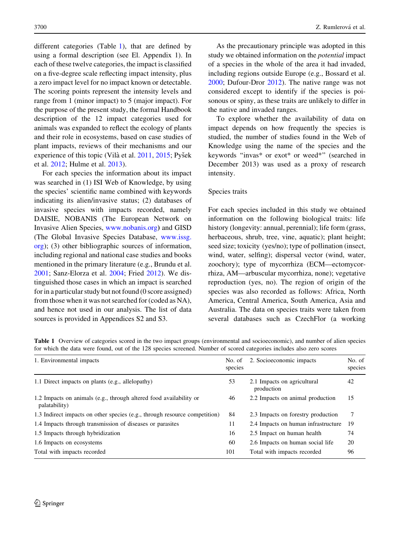<span id="page-3-0"></span>different categories (Table 1), that are defined by using a formal description (see El. Appendix 1). In each of these twelve categories, the impact is classified on a five-degree scale reflecting impact intensity, plus a zero impact level for no impact known or detectable. The scoring points represent the intensity levels and range from 1 (minor impact) to 5 (major impact). For the purpose of the present study, the formal Handbook description of the 12 impact categories used for animals was expanded to reflect the ecology of plants and their role in ecosystems, based on case studies of plant impacts, reviews of their mechanisms and our experience of this topic (Vilà et al.  $2011$ ,  $2015$ ; Pyšek et al. [2012](#page-14-0); Hulme et al. [2013\)](#page-13-0).

For each species the information about its impact was searched in (1) ISI Web of Knowledge, by using the species' scientific name combined with keywords indicating its alien/invasive status; (2) databases of invasive species with impacts recorded, namely DAISIE, NOBANIS (The European Network on Invasive Alien Species, [www.nobanis.org](http://www.nobanis.org)) and GISD (The Global Invasive Species Database, [www.issg.](http://www.issg.org) [org](http://www.issg.org)); (3) other bibliographic sources of information, including regional and national case studies and books mentioned in the primary literature (e.g., Brundu et al. [2001;](#page-12-0) Sanz-Elorza et al. [2004;](#page-14-0) Fried [2012](#page-12-0)). We distinguished those cases in which an impact is searched for in a particular study but not found (0 score assigned) from those when it was not searched for (coded as NA), and hence not used in our analysis. The list of data sources is provided in Appendices S2 and S3.

As the precautionary principle was adopted in this study we obtained information on the potential impact of a species in the whole of the area it had invaded, including regions outside Europe (e.g., Bossard et al. [2000;](#page-12-0) Dufour-Dror [2012\)](#page-12-0). The native range was not considered except to identify if the species is poisonous or spiny, as these traits are unlikely to differ in the native and invaded ranges.

To explore whether the availability of data on impact depends on how frequently the species is studied, the number of studies found in the Web of Knowledge using the name of the species and the keywords ''invas\* or exot\* or weed\*'' (searched in December 2013) was used as a proxy of research intensity.

## Species traits

For each species included in this study we obtained information on the following biological traits: life history (longevity: annual, perennial); life form (grass, herbaceous, shrub, tree, vine, aquatic); plant height; seed size; toxicity (yes/no); type of pollination (insect, wind, water, selfing); dispersal vector (wind, water, zoochory); type of mycorrhiza (ECM—ectomycorrhiza, AM—arbuscular mycorrhiza, none); vegetative reproduction (yes, no). The region of origin of the species was also recorded as follows: Africa, North America, Central America, South America, Asia and Australia. The data on species traits were taken from several databases such as CzechFlor (a working

|  |                                                                                                                       | Table 1 Overview of categories scored in the two impact groups (environmental and socioeconomic), and number of alien species |
|--|-----------------------------------------------------------------------------------------------------------------------|-------------------------------------------------------------------------------------------------------------------------------|
|  | for which the data were found, out of the 128 species screened. Number of scored categories includes also zero scores |                                                                                                                               |

| 1. Environmental impacts                                                            | No. of<br>species | 2. Socioeconomic impacts                  | No. of<br>species |
|-------------------------------------------------------------------------------------|-------------------|-------------------------------------------|-------------------|
| 1.1 Direct impacts on plants (e.g., allelopathy)                                    | 53                | 2.1 Impacts on agricultural<br>production | 42                |
| 1.2 Impacts on animals (e.g., through altered food availability or<br>palatability) | 46                | 2.2 Impacts on animal production          | 15                |
| 1.3 Indirect impacts on other species (e.g., through resource competition)          | 84                | 2.3 Impacts on forestry production        |                   |
| 1.4 Impacts through transmission of diseases or parasites                           | 11                | 2.4 Impacts on human infrastructure       | 19                |
| 1.5 Impacts through hybridization                                                   | 16                | 2.5 Impact on human health                | 74                |
| 1.6 Impacts on ecosystems                                                           | 60                | 2.6 Impacts on human social life          | 20                |
| Total with impacts recorded                                                         | 101               | Total with impacts recorded               | 96                |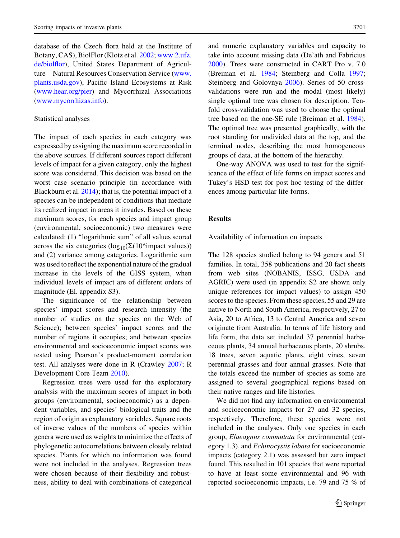database of the Czech flora held at the Institute of Botany, CAS), BiolFlor (Klotz et al. [2002;](#page-13-0) [www.2.ufz.](http://www.2.ufz.de/biolflor) [de/biolflor](http://www.2.ufz.de/biolflor)), United States Department of Agriculture—Natural Resources Conservation Service [\(www.](http://www.plants.usda.gov) [plants.usda.gov\)](http://www.plants.usda.gov), Pacific Island Ecosystems at Risk [\(www.hear.org/pier\)](http://www.hear.org/pier) and Mycorrhizal Associations [\(www.mycorrhizas.info](http://www.mycorrhizas.info)).

## Statistical analyses

The impact of each species in each category was expressed by assigning the maximum score recorded in the above sources. If different sources report different levels of impact for a given category, only the highest score was considered. This decision was based on the worst case scenario principle (in accordance with Blackburn et al. [2014](#page-12-0)); that is, the potential impact of a species can be independent of conditions that mediate its realized impact in areas it invades. Based on these maximum scores, for each species and impact group (environmental, socioeconomic) two measures were calculated: (1) ''logarithmic sum'' of all values scored across the six categories ( $log_{10}(\Sigma(10^{\circ}$ impact values)) and (2) variance among categories. Logarithmic sum was used to reflect the exponential nature of the gradual increase in the levels of the GISS system, when individual levels of impact are of different orders of magnitude (El. appendix S3).

The significance of the relationship between species' impact scores and research intensity (the number of studies on the species on the Web of Science); between species' impact scores and the number of regions it occupies; and between species environmental and socioeconomic impact scores was tested using Pearson's product-moment correlation test. All analyses were done in R (Crawley [2007](#page-12-0); R Development Core Team [2010](#page-14-0)).

Regression trees were used for the exploratory analysis with the maximum scores of impact in both groups (environmental, socioeconomic) as a dependent variables, and species' biological traits and the region of origin as explanatory variables. Square roots of inverse values of the numbers of species within genera were used as weights to minimize the effects of phylogenetic autocorrelations between closely related species. Plants for which no information was found were not included in the analyses. Regression trees were chosen because of their flexibility and robustness, ability to deal with combinations of categorical

and numeric explanatory variables and capacity to take into account missing data (De'ath and Fabricius [2000\)](#page-12-0). Trees were constructed in CART Pro v. 7.0 (Breiman et al. [1984](#page-12-0); Steinberg and Colla [1997](#page-14-0); Steinberg and Golovnya [2006](#page-14-0)). Series of 50 crossvalidations were run and the modal (most likely) single optimal tree was chosen for description. Tenfold cross-validation was used to choose the optimal tree based on the one-SE rule (Breiman et al. [1984](#page-12-0)). The optimal tree was presented graphically, with the root standing for undivided data at the top, and the terminal nodes, describing the most homogeneous groups of data, at the bottom of the hierarchy.

One-way ANOVA was used to test for the significance of the effect of life forms on impact scores and Tukey's HSD test for post hoc testing of the differences among particular life forms.

## Results

Availability of information on impacts

The 128 species studied belong to 94 genera and 51 families. In total, 358 publications and 20 fact sheets from web sites (NOBANIS, ISSG, USDA and AGRIC) were used (in appendix S2 are shown only unique references for impact values) to assign 450 scores to the species. From these species, 55 and 29 are native to North and South America, respectively, 27 to Asia, 20 to Africa, 13 to Central America and seven originate from Australia. In terms of life history and life form, the data set included 37 perennial herbaceous plants, 34 annual herbaceous plants, 20 shrubs, 18 trees, seven aquatic plants, eight vines, seven perennial grasses and four annual grasses. Note that the totals exceed the number of species as some are assigned to several geographical regions based on their native ranges and life histories.

We did not find any information on environmental and socioeconomic impacts for 27 and 32 species, respectively. Therefore, these species were not included in the analyses. Only one species in each group, Elaeagnus commutata for environmental (category 1.3), and Echinocystis lobata for socioeconomic impacts (category 2.1) was assessed but zero impact found. This resulted in 101 species that were reported to have at least some environmental and 96 with reported socioeconomic impacts, i.e. 79 and 75 % of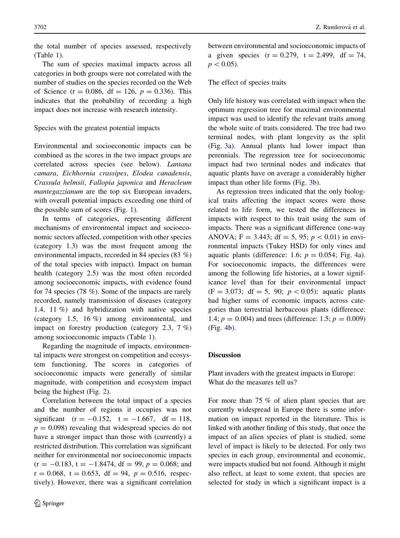The sum of species maximal impacts across all categories in both groups were not correlated with the number of studies on the species recorded on the Web of Science (r = 0.086, df = 126,  $p = 0.336$ ). This indicates that the probability of recording a high impact does not increase with research intensity.

## Species with the greatest potential impacts

Environmental and socioeconomic impacts can be combined as the scores in the two impact groups are correlated across species (see below). Lantana camara, Eichhornia crassipes, Elodea canadensis, Crassula helmsii, Fallopia japonica and Heracleum mantegazzianum are the top six European invaders, with overall potential impacts exceeding one third of the possible sum of scores (Fig. [1](#page-6-0)).

In terms of categories, representing different mechanisms of environmental impact and socioeconomic sectors affected, competition with other species (category 1.3) was the most frequent among the environmental impacts, recorded in 84 species (83 %) of the total species with impact). Impact on human health (category 2.5) was the most often recorded among socioeconomic impacts, with evidence found for 74 species (78 %). Some of the impacts are rarely recorded, namely transmission of diseases (category 1.4, 11 %) and hybridization with native species (category 1.5, 16 %) among environmental, and impact on forestry production (category 2.3, 7 %) among socioeconomic impacts (Table [1](#page-3-0)).

Regarding the magnitude of impacts, environmental impacts were strongest on competition and ecosystem functioning. The scores in categories of socioeconomic impacts were generally of similar magnitude, with competition and ecosystem impact being the highest (Fig. [2\)](#page-7-0).

Correlation between the total impact of a species and the number of regions it occupies was not significant  $(r = -0.152, t = -1.667, df = 118,$  $p = 0.098$ ) revealing that widespread species do not have a stronger impact than those with (currently) a restricted distribution. This correlation was significant neither for environmental nor socioeconomic impacts  $(r = -0.183, t = -1.8474, df = 99, p = 0.068; and$  $r = 0.068$ ,  $t = 0.653$ ,  $df = 94$ ,  $p = 0.516$ , respectively). However, there was a significant correlation between environmental and socioeconomic impacts of a given species  $(r = 0.279, t = 2.499, df = 74,$  $p<0.05$ ).

## The effect of species traits

Only life history was correlated with impact when the optimum regression tree for maximal environmental impact was used to identify the relevant traits among the whole suite of traits considered. The tree had two terminal nodes, with plant longevity as the split (Fig. [3](#page-8-0)a). Annual plants had lower impact than perennials. The regression tree for socioeconomic impact had two terminal nodes and indicates that aquatic plants have on average a considerably higher impact than other life forms (Fig. [3](#page-8-0)b).

As regression trees indicated that the only biological traits affecting the impact scores were those related to life form, we tested the differences in impacts with respect to this trait using the sum of impacts. There was a significant difference (one-way ANOVA; F = 3.443; df = 5, 95;  $p < 0.01$ ) in environmental impacts (Tukey HSD) for only vines and aquatic plants (difference: 1.6;  $p = 0.054$ ; Fig. [4a](#page-8-0)). For socioeconomic impacts, the differences were among the following life histories, at a lower significance level than for their environmental impact  $(F = 3.073; df = 5, 90; p < 0.05)$ : aquatic plants had higher sums of economic impacts across categories than terrestrial herbaceous plants (difference: 1.4;  $p = 0.004$ ) and trees (difference: 1.5;  $p = 0.009$ ) (Fig. [4](#page-8-0)b).

## **Discussion**

Plant invaders with the greatest impacts in Europe: What do the measures tell us?

For more than 75 % of alien plant species that are currently widespread in Europe there is some information on impact reported in the literature. This is linked with another finding of this study, that once the impact of an alien species of plant is studied, some level of impact is likely to be detected. For only two species in each group, environmental and economic, were impacts studied but not found. Although it might also reflect, at least to some extent, that species are selected for study in which a significant impact is a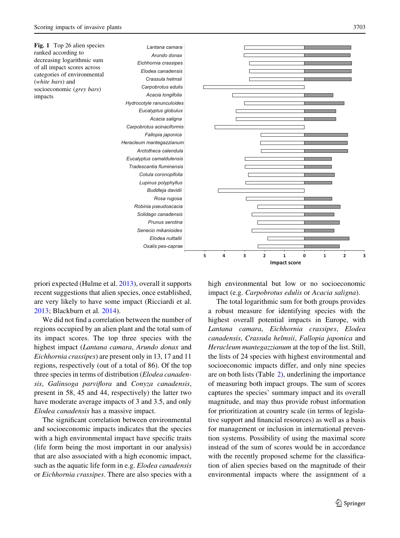<span id="page-6-0"></span>

priori expected (Hulme et al. [2013\)](#page-13-0), overall it supports recent suggestions that alien species, once established, are very likely to have some impact (Ricciardi et al. [2013;](#page-14-0) Blackburn et al. [2014](#page-12-0)).

We did not find a correlation between the number of regions occupied by an alien plant and the total sum of its impact scores. The top three species with the highest impact (Lantana camara, Arundo donax and Eichhornia crassipes) are present only in 13, 17 and 11 regions, respectively (out of a total of 86). Of the top three species in terms of distribution (*Elodea canaden*sis, Galinsoga parviflora and Conyza canadensis, present in 58, 45 and 44, respectively) the latter two have moderate average impacts of 3 and 3.5, and only Elodea canadensis has a massive impact.

The significant correlation between environmental and socioeconomic impacts indicates that the species with a high environmental impact have specific traits (life form being the most important in our analysis) that are also associated with a high economic impact, such as the aquatic life form in e.g. Elodea canadensis or Eichhornia crassipes. There are also species with a high environmental but low or no socioeconomic impact (e.g. Carpobrotus edulis or Acacia saligna).

The total logarithmic sum for both groups provides a robust measure for identifying species with the highest overall potential impacts in Europe, with Lantana camara, Eichhornia crassipes, Elodea canadensis, Crassula helmsii, Fallopia japonica and Heracleum mantegazzianum at the top of the list. Still, the lists of 24 species with highest environmental and socioeconomic impacts differ, and only nine species are on both lists (Table [2](#page-9-0)), underlining the importance of measuring both impact groups. The sum of scores captures the species' summary impact and its overall magnitude, and may thus provide robust information for prioritization at country scale (in terms of legislative support and financial resources) as well as a basis for management or inclusion in international prevention systems. Possibility of using the maximal score instead of the sum of scores would be in accordance with the recently proposed scheme for the classification of alien species based on the magnitude of their environmental impacts where the assignment of a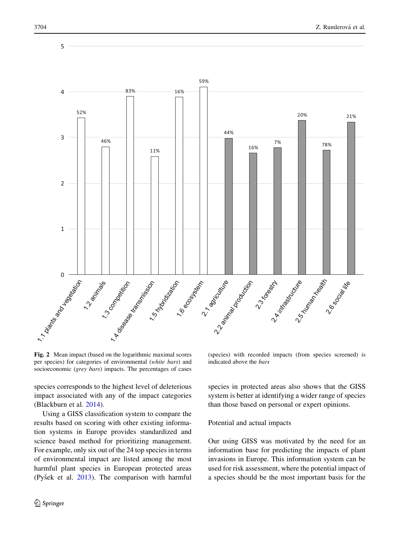<span id="page-7-0"></span>

Fig. 2 Mean impact (based on the logarithmic maximal scores per species) for categories of environmental (white bars) and socioeconomic (*grey bars*) impacts. The percentages of cases

species corresponds to the highest level of deleterious impact associated with any of the impact categories (Blackburn et al. [2014](#page-12-0)).

Using a GISS classification system to compare the results based on scoring with other existing information systems in Europe provides standardized and science based method for prioritizing management. For example, only six out of the 24 top species in terms of environmental impact are listed among the most harmful plant species in European protected areas (Pyšek et al.  $2013$ ). The comparison with harmful

(species) with recorded impacts (from species screened) is indicated above the bars

species in protected areas also shows that the GISS system is better at identifying a wider range of species than those based on personal or expert opinions.

### Potential and actual impacts

Our using GISS was motivated by the need for an information base for predicting the impacts of plant invasions in Europe. This information system can be used for risk assessment, where the potential impact of a species should be the most important basis for the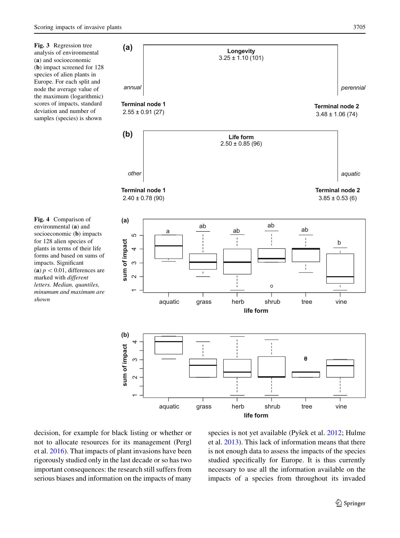<span id="page-8-0"></span>Fig. 3 Regression tree analysis of environmental (a) and socioeconomic (b) impact screened for 128 species of alien plants in Europe. For each split and node the average value of the maximum (logarithmic) scores of impacts, standard deviation and number of samples (species) is shown

Fig. 4 Comparison of environmental (a) and socioeconomic (**b**) impacts for 128 alien species of plants in terms of their life forms and based on sums of impacts. Significant (a)  $p < 0.01$ , differences are marked with different letters. Median, quantiles, minumum and maximum are shown



decision, for example for black listing or whether or not to allocate resources for its management (Pergl et al. [2016\)](#page-13-0). That impacts of plant invasions have been rigorously studied only in the last decade or so has two important consequences: the research still suffers from serious biases and information on the impacts of many species is not yet available (Pyšek et al.  $2012$ ; Hulme et al. [2013\)](#page-13-0). This lack of information means that there is not enough data to assess the impacts of the species studied specifically for Europe. It is thus currently necessary to use all the information available on the impacts of a species from throughout its invaded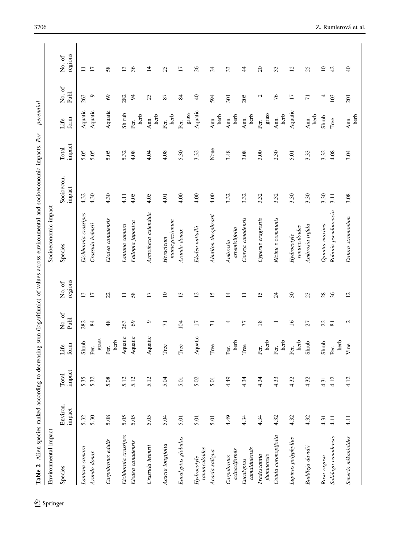| $\overline{\phantom{a}}$<br>ì<br>------<br>l                                                              |
|-----------------------------------------------------------------------------------------------------------|
| ă<br>١<br>I                                                                                               |
| l<br>Ï<br>ł<br>j<br>l                                                                                     |
|                                                                                                           |
|                                                                                                           |
|                                                                                                           |
| i<br>i                                                                                                    |
|                                                                                                           |
|                                                                                                           |
|                                                                                                           |
| í<br>ï<br>ï                                                                                               |
|                                                                                                           |
|                                                                                                           |
|                                                                                                           |
| ì                                                                                                         |
| J<br>ţ<br>ŧ<br>i<br>֚                                                                                     |
| i<br>١<br>֧֦֧֦֧֦֧֦֧֧֦֧֧֧֧֧֧֧֧֧֧֧֧֧֧֧֧֧֧֧֛֛֝֟֓֕֝֝֬֝֝֬֓֝֬֝֓֝֬֓֝֟֓֟֓֟֓֝֬֟֓֟֓֝֬֝֬֝֬֝֬֝֬֝֬֝֬֝֬֝֬֝֬֜֜<br>j<br>Í |
| $\frac{1}{2}$                                                                                             |
|                                                                                                           |
| u Jiru<br>Table 2<br>֚֚֕                                                                                  |

<span id="page-9-0"></span>

| Table 2                      |                    |                 |               |                 |                   | Alien species ranked according to decreasing sum (logarithmic) of values across environmental and socioeconomic impacts. Per. |                      |                 | $-$ perennial        |                   |                   |
|------------------------------|--------------------|-----------------|---------------|-----------------|-------------------|-------------------------------------------------------------------------------------------------------------------------------|----------------------|-----------------|----------------------|-------------------|-------------------|
| Environmental impact         |                    |                 |               |                 |                   | Socioeconomic impact                                                                                                          |                      |                 |                      |                   |                   |
| Species                      | Environ.<br>impact | impact<br>Total | form<br>Life  | No. of<br>Publ. | regions<br>No. of | Species                                                                                                                       | Socioecon.<br>impact | impact<br>Total | form<br>Life         | No. of<br>Publ.   | regions<br>No. of |
| Lantana camara               | 5.32               | 5.35            | Shrub         | 282             | 13                | Eichhornia crassipes                                                                                                          | 4.32                 | 5.05            | Aquatic              | 263               | $\equiv$          |
| Arundo donax                 | 5.30               | 5.32            | grass<br>Per. | 84              | 17                | Crassula helmsii                                                                                                              | 4.30                 | 5.05            | Aquatic              | $\circ$           | $\overline{17}$   |
| Carpobrotus edulis           | 5.08               | 5.08            | herb<br>Per.  | 48              | 22                | Elodea canadensis                                                                                                             | 4.30                 | 5.05            | Aquatic              | 69                | 58                |
| Eichhornia crassipes         | 5.05               | 5.12            | Aquatic       | 263             | $\Box$            | Lantana camara                                                                                                                | 4.11                 | 5.32            | Sh rub               | 282               | $\overline{13}$   |
| Elodea canadensis            | 5.05               | 5.12            | Aquatic       | 69              | 58                | Fallopia japonica                                                                                                             | 4.05                 | 4.08            | herb<br>Per.         | $\approx$         | 36                |
| Crassula helmsii             | 5.05               | 5.12            | Aquatic       | $\circ$         | 17                | Arctotheca calendula                                                                                                          | 4.05                 | 4.04            | herb<br>Ann.         | 23                | 14                |
| Acacia longifolia            | 5.04               | 5.04            | Tree          | $\overline{7}$  | $\overline{10}$   | $m$ antegazzianum<br>Heracleum                                                                                                | 4.01                 | 4.08            | herb<br>Per.         | 87                | 25                |
| Eucalyptus globulus          | 5.01               | 5.01            | Tree          | 104             | 13                | Arundo donax                                                                                                                  | 4.00                 | 5.30            | $\rm{grass}$<br>Per. | 84                | $\overline{17}$   |
| ranunculoides<br>Hydrocotyle | 5.01               | 5.02            | Aquatic       | $\overline{17}$ | 12                | Elodea nuttallii                                                                                                              | 4.00                 | 3.32            | Aquatic              | $\frac{1}{4}$     | 26                |
| Acacia saligna               | 5.01               | 5.01            | Tree          | $\overline{7}$  | 15                | Abutilon theophrasti                                                                                                          | 4.00                 | None            | herb<br>Ann.         | 594               | 34                |
| acinaciformis<br>Carpobrotus | 4.49               | 4.49            | herb<br>Per.  | 4               | $\overline{4}$    | artemisiifolia<br>Ambrosia                                                                                                    | 3.32                 | 3.48            | herb<br>Ann.         | 301               | 33                |
| camaldulensis<br>Eucalyptus  | 4.34               | 4.34            | $_{\rm Tree}$ | 77              | $\Box$            | Conyza canadensis                                                                                                             | 3.32                 | 3.08            | herb<br>Ann.         | 205               | $\frac{4}{4}$     |
| fluminensis<br>Tradescantia  | 4.34               | 4.34            | herb<br>Per.  | 18              | 15                | Cyperus eragrostis                                                                                                            | 3.32                 | 3.00            | grass<br>Per.        | $\mathbf{\Omega}$ | $\Omega$          |
| Cotula coronopifolia         | 4.32               | 4.33            | herb<br>Per.  |                 | $\overline{24}$   | Ricinu s communis                                                                                                             | 3.32                 | 2.30            | herb<br>Ann.         | 76                | 33                |
| Lupinus polyphyllus          | 4.32               | 4.32            | herb<br>Per.  | $\overline{16}$ | $30\,$            | ranunculoides<br>Hydrocotyle                                                                                                  | 3.30                 | 5.01            | Aquatic              | 17                | 12                |
| Buddleja davidii             | 4.32               | 4.32            | Shrub         | 27              | 23                | Ambrosia trifida                                                                                                              | 3.30                 | 3.33            | herb<br>Ann.         | $\overline{7}$    | 25                |
| Rosa rugosa                  | 4.31               | 4.31            | Shrub         | 22              | 28                | Opuntia maxima                                                                                                                | 3.30                 | 3.32            | Shrub                | 4                 | $\overline{10}$   |
| Solidago canadensis          | 4.11               | 4.12            | herb<br>Per.  | 81              | 36                | Robinia pseudoacacia                                                                                                          | 3.11                 | 4.08            | Tree                 | 103               | 42                |
| Senecio mikanioides          | 4.11               | 4.12            | Vine          | $\mathbf{c}$    | 12                | Datura stramonium                                                                                                             | 3.08                 | 3.04            | herb<br>Ann.         | 201               | $\frac{1}{4}$     |

 $\underline{\textcircled{\tiny 2}}$  Springer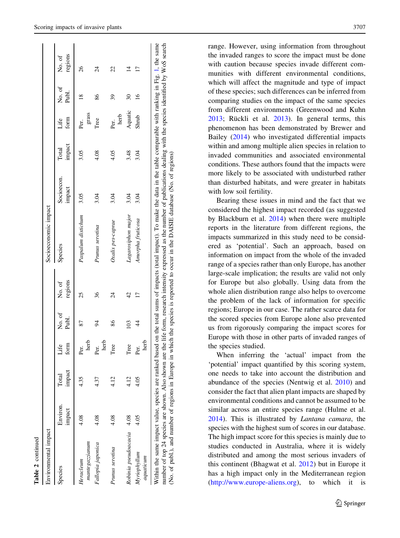| Environmental impact               |                    |                 |              |                 |                   | Socioeconomic impact                                                                                                                                                                                                                                                                                                                                                                                                                                                                                 |                      |                        |                    |                 |                   |
|------------------------------------|--------------------|-----------------|--------------|-----------------|-------------------|------------------------------------------------------------------------------------------------------------------------------------------------------------------------------------------------------------------------------------------------------------------------------------------------------------------------------------------------------------------------------------------------------------------------------------------------------------------------------------------------------|----------------------|------------------------|--------------------|-----------------|-------------------|
| Species                            | Environ.<br>impact | impact<br>Total | form<br>Life | No. of<br>Publ. | regions<br>No. of | Species                                                                                                                                                                                                                                                                                                                                                                                                                                                                                              | Socioecon.<br>impact | impact<br><b>Lotal</b> | form<br>£.<br>Life | No. of<br>Publ. | regions<br>No. of |
| $m$ anteg $a$ zzaanum<br>Heracleum | 4.08               | 4.35            | herb<br>Per. | 87              | 25                | Paspalum distichum                                                                                                                                                                                                                                                                                                                                                                                                                                                                                   | 3.05                 | 3.05                   | grass<br>Per.      | $\frac{8}{2}$   | 26                |
| Fallopia japonica                  | 4.08               | 4.37            | herb<br>Per. | $\overline{6}$  | 36                | Prunus serotina                                                                                                                                                                                                                                                                                                                                                                                                                                                                                      | 3.04                 | 4.08                   | Tree               | 86              | $\overline{24}$   |
| Prunus serotina                    | 4.08               | 12              | Tree         | 86              | $\overline{24}$   | Oxalis pes-caprae                                                                                                                                                                                                                                                                                                                                                                                                                                                                                    | 3.O4                 | 4.05                   | herb<br>Per.       | 39              | 22                |
| Robinia pseudoacacia 4.08          |                    | 4.12            | Tree         | 103             | 42                | Lagarosiphon major                                                                                                                                                                                                                                                                                                                                                                                                                                                                                   | 3.04                 | 3.48                   | Aquatic            | 30              | 4                 |
| Myriophyllum<br>aquaticum          | 4.05               | 4.05            | herb<br>Per. | $\frac{4}{4}$   |                   | Amorpha fruticosa                                                                                                                                                                                                                                                                                                                                                                                                                                                                                    | 3.04                 | 3.04                   | Shrub              | $\frac{6}{1}$   | □                 |
|                                    |                    |                 |              |                 |                   | Within the same impact value, species are ranked based on the total sums of impacts (total impact). To make the data in the table comparable with ranking in Fig. 1, the same<br>number of top 24 species are shown. Also shown are the life form, research intensity expressed as the number of publications dealing with the species identified by WoS search<br>(No. of publ.), and number of regions in Europe in which the species is reported to occur in the DAISIE database (No. of regions) |                      |                        |                    |                 |                   |

Table 2 continued

continued

range. However, using information from throughout the invaded ranges to score the impact must be done with caution because species invade different communities with different environmental conditions, which will affect the magnitude and type of impact of these species; such differences can be inferred from comparing studies on the impact of the same species from different environments (Greenwood and Kuhn  $2013$ ; Rückli et al.  $2013$ ). In general terms, this phenomenon has been demonstrated by Brewer and Bailey ([2014\)](#page-12-0) who investigated differential impacts within and among multiple alien species in relation to invaded communities and associated environmental conditions. These authors found that the impacts were more likely to be associated with undisturbed rather than disturbed habitats, and were greater in habitats with low soil fertility.

Bearing these issues in mind and the fact that we considered the highest impact recorded (as suggested by Blackburn et al. [2014\)](#page-12-0) when there were multiple reports in the literature from different regions, the impacts summarized in this study need to be considered as 'potential'. Such an approach, based on information on impact from the whole of the invaded range of a species rather than only Europe, has another large-scale implication; the results are valid not only for Europe but also globally. Using data from the whole alien distribution range also helps to overcome the problem of the lack of information for specific regions; Europe in our case. The rather scarce data for the scored species from Europe alone also prevented us from rigorously comparing the impact scores for Europe with those in other parts of invaded ranges of the species studied.

When inferring the 'actual' impact from the 'potential' impact quantified by this scoring system, one needs to take into account the distribution and abundance of the species (Nentwig et al. [2010\)](#page-13-0) and consider the fact that alien plant impacts are shaped by environmental conditions and cannot be assumed to be similar across an entire species range (Hulme et al. [2014\)](#page-13-0). This is illustrated by Lantana camara, the species with the highest sum of scores in our database. The high impact score for this species is mainly due to studies conducted in Australia, where it is widely distributed and among the most serious invaders of this continent (Bhagwat et al. [2012\)](#page-12-0) but in Europe it has a high impact only in the Mediterranean region [\(http://www.europe-aliens.org](http://www.europe-aliens.org)), to which it is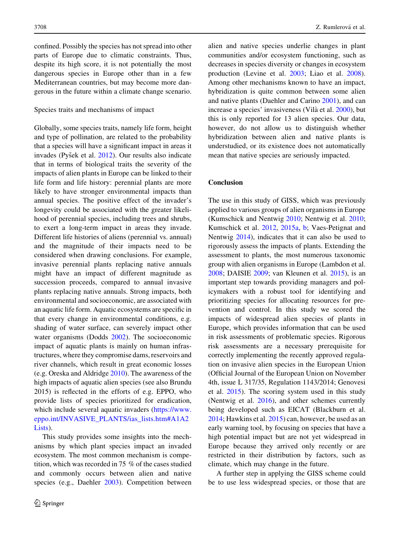confined. Possibly the species has not spread into other parts of Europe due to climatic constraints. Thus, despite its high score, it is not potentially the most dangerous species in Europe other than in a few Mediterranean countries, but may become more dangerous in the future within a climate change scenario.

#### Species traits and mechanisms of impact

Globally, some species traits, namely life form, height and type of pollination, are related to the probability that a species will have a significant impact in areas it invades (Pyšek et al. [2012](#page-14-0)). Our results also indicate that in terms of biological traits the severity of the impacts of alien plants in Europe can be linked to their life form and life history: perennial plants are more likely to have stronger environmental impacts than annual species. The positive effect of the invader's longevity could be associated with the greater likelihood of perennial species, including trees and shrubs, to exert a long-term impact in areas they invade. Different life histories of aliens (perennial vs. annual) and the magnitude of their impacts need to be considered when drawing conclusions. For example, invasive perennial plants replacing native annuals might have an impact of different magnitude as succession proceeds, compared to annual invasive plants replacing native annuals. Strong impacts, both environmental and socioeconomic, are associated with an aquatic life form. Aquatic ecosystems are specific in that every change in environmental conditions, e.g. shading of water surface, can severely impact other water organisms (Dodds [2002](#page-12-0)). The socioeconomic impact of aquatic plants is mainly on human infrastructures, where they compromise dams, reservoirs and river channels, which result in great economic losses (e.g. Oreska and Aldridge [2010\)](#page-13-0). The awareness of the high impacts of aquatic alien species (see also Brundu 2015) is reflected in the efforts of e.g. EPPO, who provide lists of species prioritized for eradication, which include several aquatic invaders [\(https://www.](https://www.eppo.int/INVASIVE_PLANTS/ias_lists.htm%23A1A2Lists) [eppo.int/INVASIVE\\_PLANTS/ias\\_lists.htm#A1A2](https://www.eppo.int/INVASIVE_PLANTS/ias_lists.htm%23A1A2Lists) [Lists](https://www.eppo.int/INVASIVE_PLANTS/ias_lists.htm%23A1A2Lists)).

This study provides some insights into the mechanisms by which plant species impact an invaded ecosystem. The most common mechanism is competition, which was recorded in 75 % of the cases studied and commonly occurs between alien and native species (e.g., Daehler [2003\)](#page-12-0). Competition between alien and native species underlie changes in plant communities and/or ecosystem functioning, such as decreases in species diversity or changes in ecosystem production (Levine et al. [2003](#page-13-0); Liao et al. [2008](#page-13-0)). Among other mechanisms known to have an impact, hybridization is quite common between some alien and native plants (Daehler and Carino [2001\)](#page-12-0), and can increase a species' invasiveness (Vilà et al. [2000](#page-14-0)), but this is only reported for 13 alien species. Our data, however, do not allow us to distinguish whether hybridization between alien and native plants is understudied, or its existence does not automatically mean that native species are seriously impacted.

#### Conclusion

The use in this study of GISS, which was previously applied to various groups of alien organisms in Europe (Kumschick and Nentwig [2010](#page-13-0); Nentwig et al. [2010](#page-13-0); Kumschick et al. [2012](#page-13-0), [2015a,](#page-13-0) [b;](#page-13-0) Vaes-Petignat and Nentwig [2014\)](#page-14-0), indicates that it can also be used to rigorously assess the impacts of plants. Extending the assessment to plants, the most numerous taxonomic group with alien organisms in Europe (Lambdon et al. [2008;](#page-13-0) DAISIE [2009;](#page-12-0) van Kleunen et al. [2015\)](#page-14-0), is an important step towards providing managers and policymakers with a robust tool for identifying and prioritizing species for allocating resources for prevention and control. In this study we scored the impacts of widespread alien species of plants in Europe, which provides information that can be used in risk assessments of problematic species. Rigorous risk assessments are a necessary prerequisite for correctly implementing the recently approved regulation on invasive alien species in the European Union (Official Journal of the European Union on November 4th, issue L 317/35, Regulation 1143/2014; Genovesi et al. [2015](#page-12-0)). The scoring system used in this study (Nentwig et al. [2016](#page-13-0)), and other schemes currently being developed such as EICAT (Blackburn et al. [2014;](#page-12-0) Hawkins et al. [2015](#page-13-0)) can, however, be used as an early warning tool, by focusing on species that have a high potential impact but are not yet widespread in Europe because they arrived only recently or are restricted in their distribution by factors, such as climate, which may change in the future.

A further step in applying the GISS scheme could be to use less widespread species, or those that are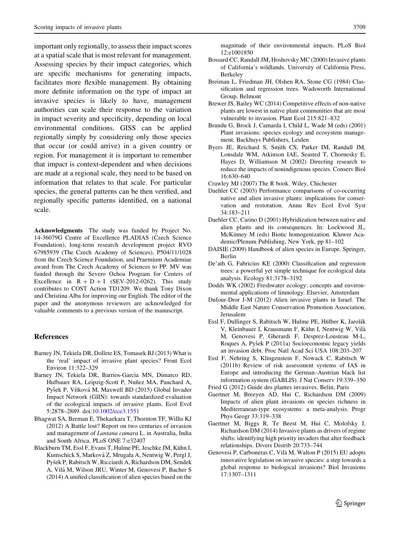<span id="page-12-0"></span>important only regionally, to assess their impact scores at a spatial scale that is most relevant for management. Assessing species by their impact categories, which are specific mechanisms for generating impacts, facilitates more flexible management. By obtaining more definite information on the type of impact an invasive species is likely to have, management authorities can scale their response to the variation in impact severity and specificity, depending on local environmental conditions. GISS can be applied regionally simply by considering only those species that occur (or could arrive) in a given country or region. For management it is important to remember that impact is context-dependent and when decisions are made at a regional scale, they need to be based on information that relates to that scale. For particular species, the general patterns can be then verified, and regionally specific patterns identified, on a national scale.

Acknowledgments The study was funded by Project No. 14-36079G Centre of Excellence PLADIAS (Czech Science Foundation), long-term research development project RVO 67985939 (The Czech Academy of Sciences), P504/11/1028 from the Czech Science Foundation, and Praemium Academiae award from The Czech Academy of Sciences to PP. MV was funded through the Severo Ochoa Program for Centers of Excellence in  $R + D + I$  (SEV-2012-0262). This study contributes to COST Action TD1209. We thank Tony Dixon and Christina Alba for improving our English. The editor of the paper and the anonymous reviewers are acknowledged for valuable comments to a previous version of the manuscript.

## References

- Barney JN, Tekiela DR, Dollete ES, Tomasek BJ (2013) What is the 'real' impact of invasive plant species? Front Ecol Environ 11:322–329
- Barney JN, Tekiela DR, Barrios-Garcia MN, Dimarco RD, Hufbauer RA, Leipzig-Scott P, Nuñez MA, Pauchard A, Pyšek P, Vítková M, Maxwell BD (2015) Global Invader Impact Network (GIIN): towards standardized evaluation of the ecological impacts of invasive plants. Ecol Evol 5:2878–2889. doi[:10.1002/ece3.1551](http://dx.doi.org/10.1002/ece3.1551)
- Bhagwat SA, Breman E, Thekaekara T, Thornton TF, Willis KJ (2012) A Battle lost? Report on two centuries of invasion and management of Lantana camara L. in Australia, India and South Africa. PLoS ONE 7:e32407
- Blackburn TM, Essl F, Evans T, Hulme PE, Jeschke JM, Kühn I, Kumschick S, Marková Z, Mrugała A, Nentwig W, Pergl J, Pyšek P, Rabitsch W, Ricciardi A, Richardson DM, Sendek A, Vila` M, Wilson JRU, Winter M, Genovesi P, Bacher S (2014) A unified classification of alien species based on the

magnitude of their environmental impacts. PLoS Biol 12:e1001850

- Bossard CC, Randall JM, Hoshovsky MC (2000) Invasive plants of California's wildlands. University of California Press, Berkeley
- Breiman L, Friedman JH, Olshen RA, Stone CG (1984) Classification and regression trees. Wadsworth International Group, Belmont
- Brewer JS, Bailey WC (2014) Competitive effects of non-native plants are lowest in native plant communities that are most vulnerable to invasion. Plant Ecol 215:821–832
- Brundu G, Brock J, Camarda I, Child L, Wade M (eds) (2001) Plant invasions: species ecology and ecosystem management. Backhuys Publishers, Leiden
- Byers JE, Reichard S, Smith CS, Parker IM, Randall JM, Lonsdale WM, Atkinson IAE, Seasted T, Chornesky E, Hayes D, Williamson M (2002) Directing research to reduce the impacts of nonindigenous species. Conserv Biol 16:630–640
- Crawley MJ (2007) The R book. Wiley, Chichester
- Daehler CC (2003) Performance comparisons of co-occurring native and alien invasive plants: implications for conservation and restoration. Annu Rev Ecol Evol Syst 34:183–211
- Daehler CC, Carino D (2001) Hybridization between native and alien plants and its consequences. In: Lockwood JL, McKinney M (eds) Biotic homogenization. Kluwer Academic/Plenum Publishing, New York, pp 81–102
- DAISIE (2009) Handbook of alien species in Europe. Springer, Berlin
- De'ath G, Fabricius KE (2000) Classification and regression trees: a powerful yet simple technique for ecological data analysis. Ecology 81:3178–3192
- Dodds WK (2002) Freshwater ecology: concepts and environmental applications of limnology. Elsevier, Amsterdam
- Dufour-Dror J-M (2012) Alien invasive plants in Israel. The Middle East Nature Conservation Promotion Association, Jerusalem
- Essl F, Dullinger S, Rabitsch W, Hulme PE, Hülber K, Jarošík V, Kleinbauer I, Krausmann F, Kühn I, Nentwig W, Vilà M, Genovesi P, Gherardi F, Desprez-Lousteau M-L, Roques A, Pyšek P (2011a) Socioeconomic legacy yields an invasion debt. Proc Natl Acad Sci USA 108:203–207
- Essl F, Nehring S, Klingenstein F, Nowack C, Rabitsch W (2011b) Review of risk assessment systems of IAS in Europe and introducing the German–Austrian black list information system (GABLIS). J Nat Conserv 19:339–350
- Fried G (2012) Guide des plantes invasives. Belin, Paris
- Gaertner M, Breeyen AD, Hui C, Richardson DM (2009) Impacts of alien plant invasions on species richness in Mediterranean-type ecosystems: a meta-analysis. Progr Phys Geogr 33:319–338
- Gaertner M, Biggs R, Te Beest M, Hui C, Molofsky J, Richardson DM (2014) Invasive plants as drivers of regime shifts: identifying high priority invaders that alter feedback relationships. Divers Distrib 20:733–744
- Genovesi P, Carboneras C, Vila` M, Walton P (2015) EU adopts innovative legislation on invasive species: a step towards a global response to biological invasions? Biol Invasions 17:1307–1311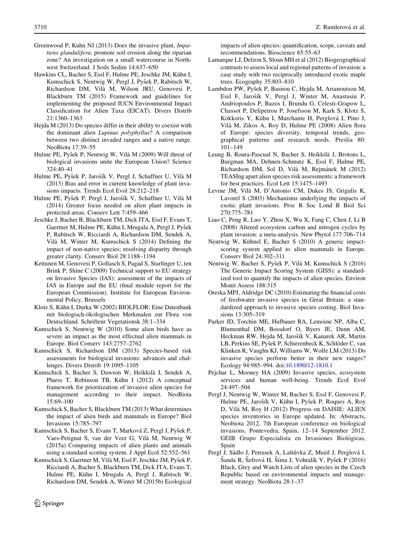- <span id="page-13-0"></span>Greenwood P, Kuhn NJ (2013) Does the invasive plant, Impatiens glandulifera, promote soil erosion along the riparian zone? An investigation on a small watercourse in Northwest Switzerland. J Soils Sedim 14:637–650
- Hawkins CL, Bacher S, Essl F, Hulme PE, Jeschke JM, Kühn I, Kumschick S, Nentwig W, Pergl J, Pyšek P, Rabitsch W, Richardson DM, Vila` M, Wilson JRU, Genovesi P, Blackburn TM (2015) Framework and guidelines for implementing the proposed IUCN Environmental Impact Classification for Alien Taxa (EICAT). Divers Distrib 21:1360–1363
- Hejda M (2013) Do species differ in their ability to coexist with the dominant alien Lupinus polyphyllus? A comparison between two distinct invaded ranges and a native range. NeoBiota 17:39–55
- Hulme PE, Pyšek P, Nentwig W, Vilà M (2009) Will threat of biological invasions unite the European Union? Science 324:40–41
- Hulme PE, Pyšek P, Jarošík V, Pergl J, Schaffner U, Vilà M (2013) Bias and error in current knowledge of plant invasions impacts. Trends Ecol Evol 28:212–218
- Hulme PE, Pyšek P, Pergl J, Jarošík V, Schaffner U, Vilà M (2014) Greater focus needed on alien plant impacts in protected areas. Conserv Lett 7:459–466
- Jeschke J, Bacher B, Blackburn TM, Dick JTA, Essl F, Evans T, Gaertner M, Hulme PE, Kühn I, Mrugala A, Pergl J, Pyšek P, Rabitsch W, Ricciardi A, Richardson DM, Sendek A, Vila` M, Winter M, Kumschick S (2014) Defining the impact of non-native species: resolving disparity through greater clarity. Conserv Biol 28:1188–1194
- Kettunen M, Genovesi P, Gollasch S, Pagad S, Starfinger U, ten Brink P, Shine C (2009) Technical support to EU strategy on Invasive Species (IAS): assessment of the impacts of IAS in Europe and the EU (final module report for the European Commission). Institute for European Environmental Policy, Brussels
- Klotz S, Kühn I, Durka W (2002) BIOLFLOR: Eine Datenbank mit biologisch-ökologischen Merkmalen zur Flora von Deutschland. Schriftenr Vegetationsk 38:1–334
- Kumschick S, Nentwig W (2010) Some alien birds have as severe an impact as the most effectual alien mammals in Europe. Biol Conserv 143:2757–2762
- Kumschick S, Richardson DM (2013) Species-based risk assessments for biological invasions: advances and challenges. Divers Distrib 19:1095–1105
- Kumschick S, Bacher S, Dawson W, Heikkila¨ J, Sendek A, Pluess T, Robinson TB, Kühn I (2012) A conceptual framework for prioritization of invasive alien species for management according to their impact. NeoBiota 15:69–100
- Kumschick S, Bacher S, Blackburn TM (2013) What determines the impact of alien birds and mammals in Europe? Biol Invasions 15:785–797
- Kumschick S, Bacher S, Evans T, Marková Z, Pergl J, Pyšek P, Vaes-Petignat S, van der Veer G, Vila` M, Nentwig W (2015a) Comparing impacts of alien plants and animals using a standard scoring system. J Appl Ecol 52:552–561
- Kumschick S, Gaertner M, Vilà M, Essl F, Jeschke JM, Pyšek P, Ricciardi A, Bacher S, Blackburn TM, Dick JTA, Evans T, Hulme PE, Kühn I, Mrugała A, Pergl J, Rabitsch W, Richardson DM, Sendek A, Winter M (2015b) Ecological

impacts of alien species: quantification, scope, caveats and recommendations. Bioscience 65:55–63

- Lamarque LJ, Delzon S, Sloan MH et al (2012) Biogeographical contrasts to assess local and regional patterns of invasion: a case study with two reciprocally introduced exotic maple trees. Ecography 35:803–810
- Lambdon PW, Pyšek P, Basnou C, Hejda M, Arianoutsou M, Essl F, Jarošík V, Pergl J, Winter M, Anastasiu P, Andriopoulos P, Bazos I, Brundu G, Celesti-Grapow L, Chassot P, Delipetrou P, Josefsson M, Kark S, Klotz S, Kokkoris Y, Kühn I, Marchante H, Perglová I, Pino J, Vila` M, Zikos A, Roy D, Hulme PE (2008) Alien flora of Europe: species diversity, temporal trends, geographical patterns and research needs. Preslia 80: 101–149
- Leung B, Roura-Pascual N, Bacher S, Heikkilä J, Brotons L, Burgman MA, Dehnen-Schmutz K, Essl F, Hulme PE, Richardson DM, Sol D, Vilà M, Rejmánek M (2012) TEASIng apart alien species risk assessments: a framework for best practices. Ecol Lett 15:1475–1493
- Levine JM, Vilà M, D'Antonio CM, Dukes JS, Grigulis K, Lavorel S (2003) Mechanisms underlying the impacts of exotic plant invasions. Proc R Soc Lond B Biol Sci 270:775–781
- Liao C, Peng R, Luo Y, Zhou X, Wu X, Fang C, Chen J, Li B (2008) Altered ecosystem carbon and nitrogen cycles by plant invasion: a meta-analysis. New Phytol 177:706–714
- Nentwig W, Kühnel E, Bacher S (2010) A generic impactscoring system applied to alien mammals in Europe. Conserv Biol 24:302–311
- Nentwig W, Bacher S, Pyšek P, Vilà M, Kumschick S (2016) The Generic Impact Scoring System (GISS): a standardized tool to quantify the impacts of alien species. Environ Monit Assess 188:315
- Oreska MPJ, Aldridge DC (2010) Estimating the financial costs of freshwater invasive species in Great Britain: a standardized approach to invasive species costing. Biol Invasions 13:305–319
- Parker JD, Torchin ME, Hufbauer RA, Lemoine NP, Alba C, Blumenthal DM, Bossdorf O, Byers JE, Dunn AM, Heckman RW, Hejda M, Jarošík V, Kanarek AR, Martin LB, Perkins SE, Pyšek P, Schierenbeck K, Schlöder C, van Klinken R, Vaughn KJ, Williams W, Wolfe LM (2013) Do invasive species perform better in their new ranges? Ecology 94:985–994. doi:[10.1890/12-1810.1](http://dx.doi.org/10.1890/12-1810.1)
- Pejchar L, Mooney HA (2009) Invasive species, ecosystem services and human well-being. Trends Ecol Evol 24:497–504
- Pergl J, Nentwig W, Winter M, Bacher S, Essl F, Genovesi P, Hulme PE, Jarošík V, Kühn I, Pyšek P, Roques A, Roy D, Vila` M, Roy H (2012) Progress on DAISIE: ALIEN species inventories in Europe updated. In: Abstracts, Neobiota 2012, 7th European conference on biological invasions, Pontevedra, Spain, 12–14 September 2012. GEIB Grupo Especialista en Invasiones Biológicas, Spain
- Pergl J, Sádlo J, Petrusek A, Laštůvka Z, Musil J, Perglová I, Šanda R, Šefrová H, Šíma J, Vohralík V, Pyšek P (2016) Black, Grey and Watch Lists of alien species in the Czech Republic based on environmental impacts and management strategy. NeoBiota 28:1–37